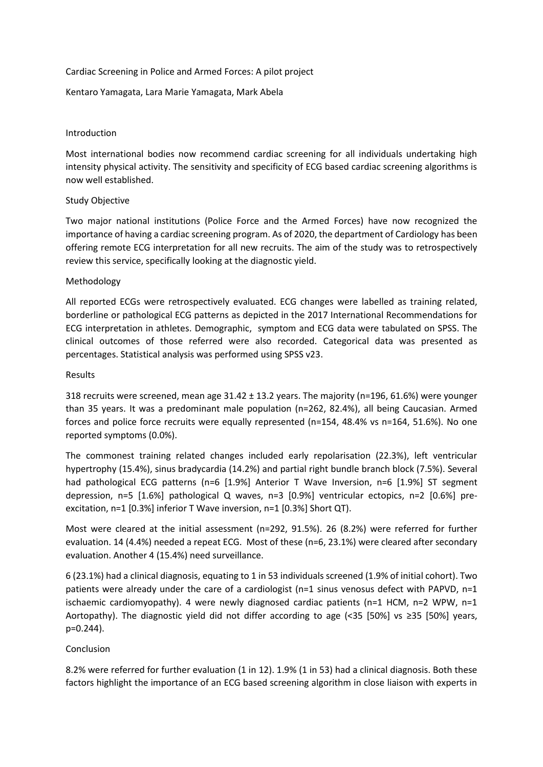### Cardiac Screening in Police and Armed Forces: A pilot project

# Kentaro Yamagata, Lara Marie Yamagata, Mark Abela

## Introduction

Most international bodies now recommend cardiac screening for all individuals undertaking high intensity physical activity. The sensitivity and specificity of ECG based cardiac screening algorithms is now well established.

# Study Objective

Two major national institutions (Police Force and the Armed Forces) have now recognized the importance of having a cardiac screening program. As of 2020, the department of Cardiology has been offering remote ECG interpretation for all new recruits. The aim of the study was to retrospectively review this service, specifically looking at the diagnostic yield.

# Methodology

All reported ECGs were retrospectively evaluated. ECG changes were labelled as training related, borderline or pathological ECG patterns as depicted in the 2017 International Recommendations for ECG interpretation in athletes. Demographic, symptom and ECG data were tabulated on SPSS. The clinical outcomes of those referred were also recorded. Categorical data was presented as percentages. Statistical analysis was performed using SPSS v23.

#### Results

318 recruits were screened, mean age 31.42 ± 13.2 years. The majority (n=196, 61.6%) were younger than 35 years. It was a predominant male population (n=262, 82.4%), all being Caucasian. Armed forces and police force recruits were equally represented (n=154, 48.4% vs n=164, 51.6%). No one reported symptoms (0.0%).

The commonest training related changes included early repolarisation (22.3%), left ventricular hypertrophy (15.4%), sinus bradycardia (14.2%) and partial right bundle branch block (7.5%). Several had pathological ECG patterns (n=6 [1.9%] Anterior T Wave Inversion, n=6 [1.9%] ST segment depression, n=5 [1.6%] pathological Q waves, n=3 [0.9%] ventricular ectopics, n=2 [0.6%] preexcitation, n=1 [0.3%] inferior T Wave inversion, n=1 [0.3%] Short QT).

Most were cleared at the initial assessment (n=292, 91.5%). 26 (8.2%) were referred for further evaluation. 14 (4.4%) needed a repeat ECG. Most of these (n=6, 23.1%) were cleared after secondary evaluation. Another 4 (15.4%) need surveillance.

6 (23.1%) had a clinical diagnosis, equating to 1 in 53 individuals screened (1.9% of initial cohort). Two patients were already under the care of a cardiologist (n=1 sinus venosus defect with PAPVD, n=1 ischaemic cardiomyopathy). 4 were newly diagnosed cardiac patients ( $n=1$  HCM,  $n=2$  WPW,  $n=1$ Aortopathy). The diagnostic yield did not differ according to age (<35 [50%] vs ≥35 [50%] years, p=0.244).

# Conclusion

8.2% were referred for further evaluation (1 in 12). 1.9% (1 in 53) had a clinical diagnosis. Both these factors highlight the importance of an ECG based screening algorithm in close liaison with experts in